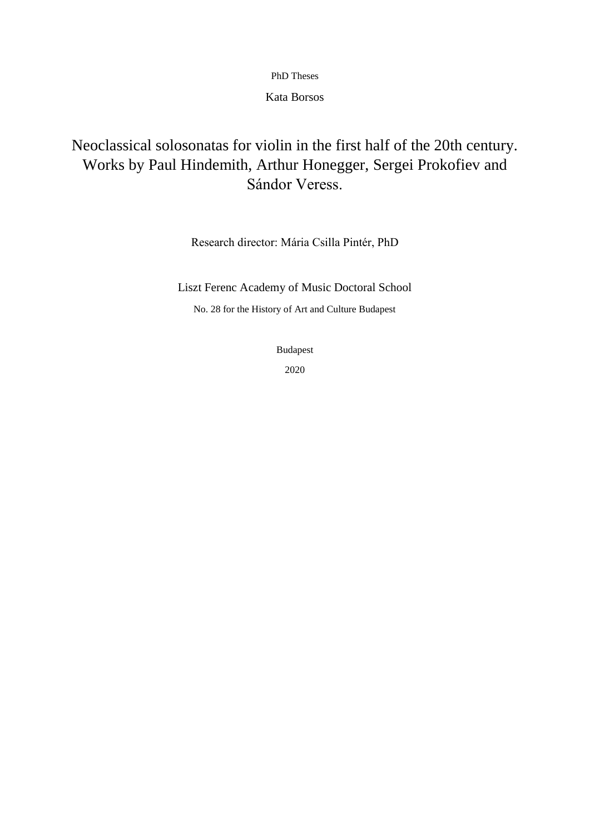PhD Theses

Kata Borsos

# Neoclassical solosonatas for violin in the first half of the 20th century. Works by Paul Hindemith, Arthur Honegger, Sergei Prokofiev and Sándor Veress.

Research director: Mária Csilla Pintér, PhD

Liszt Ferenc Academy of Music Doctoral School

No. 28 for the History of Art and Culture Budapest

Budapest

2020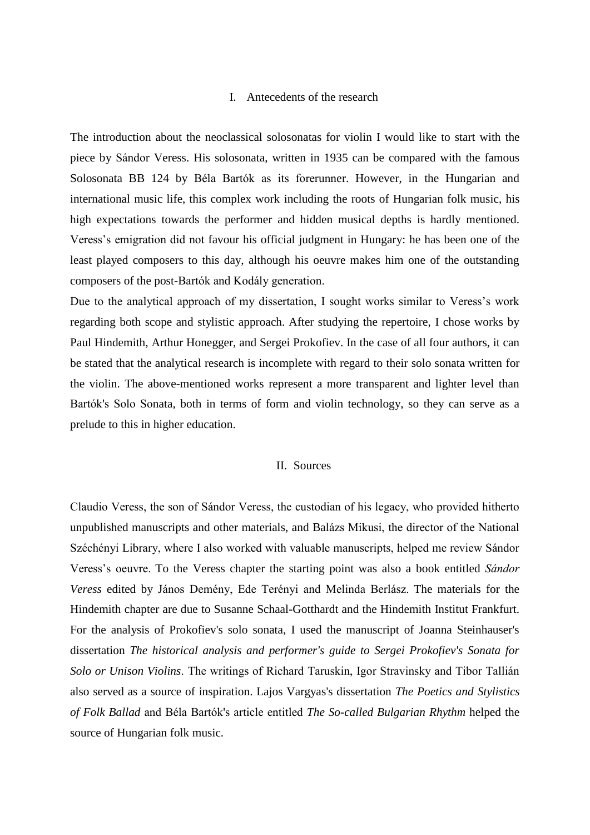#### I. Antecedents of the research

The introduction about the neoclassical solosonatas for violin I would like to start with the piece by Sándor Veress. His solosonata, written in 1935 can be compared with the famous Solosonata BB 124 by Béla Bartók as its forerunner. However, in the Hungarian and international music life, this complex work including the roots of Hungarian folk music, his high expectations towards the performer and hidden musical depths is hardly mentioned. Veress's emigration did not favour his official judgment in Hungary: he has been one of the least played composers to this day, although his oeuvre makes him one of the outstanding composers of the post-Bartók and Kodály generation.

Due to the analytical approach of my dissertation, I sought works similar to Veress's work regarding both scope and stylistic approach. After studying the repertoire, I chose works by Paul Hindemith, Arthur Honegger, and Sergei Prokofiev. In the case of all four authors, it can be stated that the analytical research is incomplete with regard to their solo sonata written for the violin. The above-mentioned works represent a more transparent and lighter level than Bartók's Solo Sonata, both in terms of form and violin technology, so they can serve as a prelude to this in higher education.

#### II. Sources

Claudio Veress, the son of Sándor Veress, the custodian of his legacy, who provided hitherto unpublished manuscripts and other materials, and Balázs Mikusi, the director of the National Széchényi Library, where I also worked with valuable manuscripts, helped me review Sándor Veress's oeuvre. To the Veress chapter the starting point was also a book entitled *Sándor Veress* edited by János Demény, Ede Terényi and Melinda Berlász. The materials for the Hindemith chapter are due to Susanne Schaal-Gotthardt and the Hindemith Institut Frankfurt. For the analysis of Prokofiev's solo sonata, I used the manuscript of Joanna Steinhauser's dissertation *The historical analysis and performer's guide to Sergei Prokofiev's Sonata for Solo or Unison Violins*. The writings of Richard Taruskin, Igor Stravinsky and Tibor Tallián also served as a source of inspiration. Lajos Vargyas's dissertation *The Poetics and Stylistics of Folk Ballad* and Béla Bartók's article entitled *The So-called Bulgarian Rhythm* helped the source of Hungarian folk music.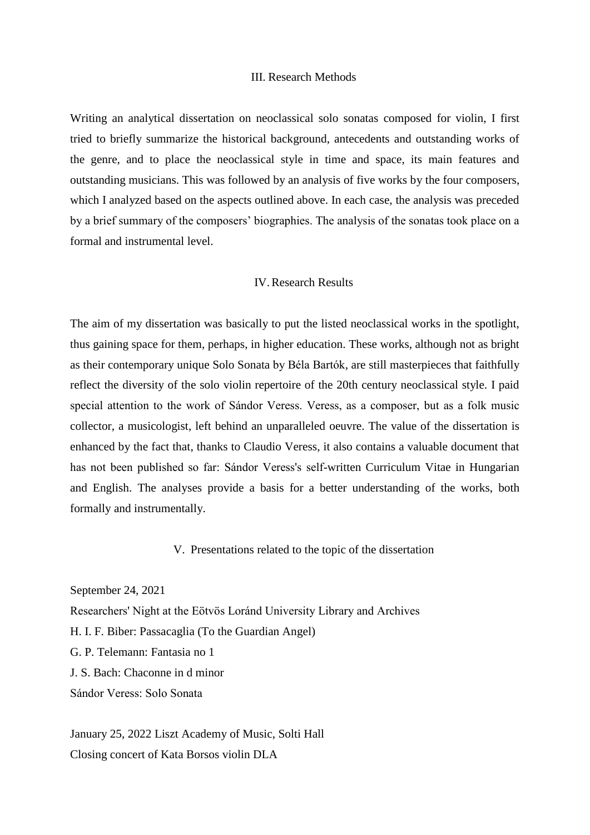### III. Research Methods

Writing an analytical dissertation on neoclassical solo sonatas composed for violin, I first tried to briefly summarize the historical background, antecedents and outstanding works of the genre, and to place the neoclassical style in time and space, its main features and outstanding musicians. This was followed by an analysis of five works by the four composers, which I analyzed based on the aspects outlined above. In each case, the analysis was preceded by a brief summary of the composers' biographies. The analysis of the sonatas took place on a formal and instrumental level.

### IV.Research Results

The aim of my dissertation was basically to put the listed neoclassical works in the spotlight, thus gaining space for them, perhaps, in higher education. These works, although not as bright as their contemporary unique Solo Sonata by Béla Bartók, are still masterpieces that faithfully reflect the diversity of the solo violin repertoire of the 20th century neoclassical style. I paid special attention to the work of Sándor Veress. Veress, as a composer, but as a folk music collector, a musicologist, left behind an unparalleled oeuvre. The value of the dissertation is enhanced by the fact that, thanks to Claudio Veress, it also contains a valuable document that has not been published so far: Sándor Veress's self-written Curriculum Vitae in Hungarian and English. The analyses provide a basis for a better understanding of the works, both formally and instrumentally.

## V. Presentations related to the topic of the dissertation

September 24, 2021

Researchers' Night at the Eötvös Loránd University Library and Archives

H. I. F. Biber: Passacaglia (To the Guardian Angel)

G. P. Telemann: Fantasia no 1

J. S. Bach: Chaconne in d minor

Sándor Veress: Solo Sonata

January 25, 2022 Liszt Academy of Music, Solti Hall Closing concert of Kata Borsos violin DLA